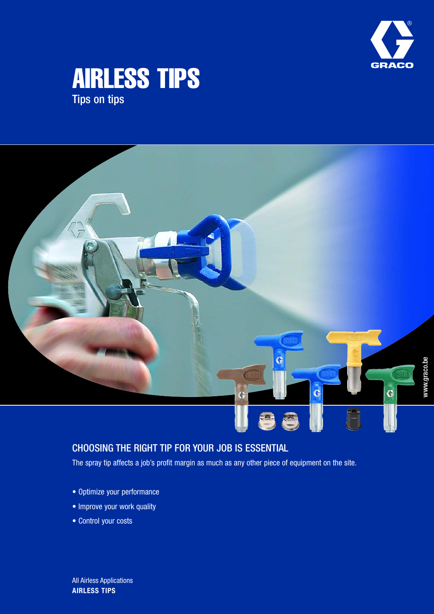





### CHOOSING THE RIGHT TIP FOR YOUR JOB IS ESSENTIAL

The spray tip affects a job's profit margin as much as any other piece of equipment on the site.

- Optimize your performance
- Improve your work quality
- Control your costs

**AIRLESS TIPS** All Airless Applications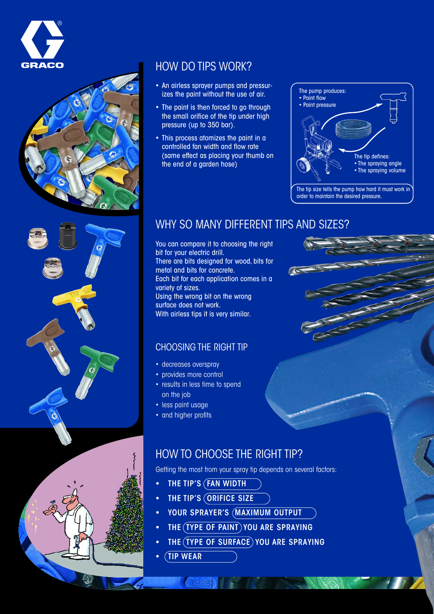



### HOW DO TIPS WORK?

- An airless sprayer pumps and pressurizes the paint without the use of air.
- The paint is then forced to go through the small orifice of the tip under high pressure (up to 350 bar).
- This process atomizes the paint in a controlled fan width and flow rate (same effect as placing your thumb on the end of a garden hose)



### WHY SO MANY DIFFERENT TIPS AND SIZES?

You can compare it to choosing the right bit for your electric drill. There are bits designed for wood, bits for metal and bits for concrete. Each bit for each application comes in a variety of sizes. Using the wrong bit on the wrong surface does not work. With airless tips it is very similar.

### CHOOSING THE RIGHT TIP

- decreases overspray
- provides more control
- results in less time to spend on the job
- less paint usage
- and higher profits

### HOW TO CHOOSE THE RIGHT TIP?

Getting the most from your spray tip depends on several factors:

- THE TIP'S (FAN WIDTH
- THE TIP'S (ORIFICE SIZE
- YOUR SPRAYER'S (MAXIMUM OUTPUT
- THE (TYPE OF PAINT) YOU ARE SPRAYING

 $(1225)$   $(127)$ 

- THE (TYPE OF SURFACE) YOU ARE SPRAYING
- TIP WEAR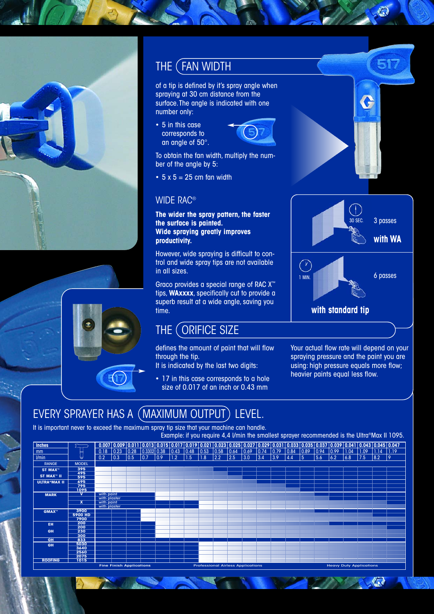





### THE (FAN WIDTH

of a tip is defined by it's spray angle when spraying at 30 cm distance from the surface.The angle is indicated with one number only:

• 5 in this case corresponds to an angle of 50°.



To obtain the fan width, multiply the number of the angle by 5:

 $\cdot$  5 x 5 = 25 cm fan width

### WIDE RAC®

**The wider the spray pattern, the faster the surface is painted. Wide spraying greatly improves productivity.**

However, wide spraying is difficult to control and wide spray tips are not available in all sizes.

Graco provides a special range of RAC X™ tips, **WAxxxx**, specifically cut to provide a superb result at a wide angle, saving you time.

### THE (ORIFICE SIZE

defines the amount of paint that will flow through the tip. It is indicated by the last two digits:

- 17 in this case corresponds to a hole
- size of 0.017 of an inch or 0.43 mm

Your actual flow rate will depend on your spraying pressure and the paint you are using: high pressure equals more flow; heavier paints equal less flow.

 $\sqrt{2}$ 

- 71

**with standard tip**

1 MIN.

**NEW YORK** 

 $\circledcirc$ 

3 passes

517

€

30 SEC.

**with WA**

6 passes

### EVERY SPRAYER HAS A (MAXIMUM OUTPUT) LEVEL.

It is important never to exceed the maximum spray tip size that your machine can handle.

|                        |                         |                            |                                 |      |                                                                                                                                                                                                                                                                     |               |      |           |     |                                          |      |                |                |                |      |      |      |                                |      |      |      | Example: if you require 4,4 I/min the smallest sprayer recommended is the Ultra®Max II 1095. |
|------------------------|-------------------------|----------------------------|---------------------------------|------|---------------------------------------------------------------------------------------------------------------------------------------------------------------------------------------------------------------------------------------------------------------------|---------------|------|-----------|-----|------------------------------------------|------|----------------|----------------|----------------|------|------|------|--------------------------------|------|------|------|----------------------------------------------------------------------------------------------|
| <b>Inches</b>          |                         | 0.007                      |                                 |      | $\mid$ 0.009 $\mid$ 0.011 $\mid$ 0.013 $\mid$ 0.015 $\mid$ 0.017 $\mid$ 0.019 $\mid$ 0.021 $\mid$ 0.023 $\mid$ 0.025 $\mid$ 0.027 $\mid$ 0.029 $\mid$ 0.031 $\mid$ 0.033 $\mid$ 0.033 $\mid$ 0.039 $\mid$ 0.039 $\mid$ 0.041 $\mid$ 0.043 $\mid$ 0.045 $\mid$ 0.047 |               |      |           |     |                                          |      |                |                |                |      |      |      |                                |      |      |      |                                                                                              |
| mm                     |                         | 0.18                       | 0.23                            | 0.28 | 0.3302 0.38                                                                                                                                                                                                                                                         |               | 0.43 | 0.48 0.53 |     | 0.58                                     | 0.64 | $ 0.69\rangle$ | $ 0.74\rangle$ | $ 0.79\rangle$ | 0.84 | 0.89 | 0.94 | $ 0.99\rangle$                 | 1.04 | 1.09 | 1.14 | 1.19                                                                                         |
| l/min                  |                         | 0.2                        | 0.3                             | 0.5  | 10.7                                                                                                                                                                                                                                                                | $ 0.9\rangle$ | 1.2  | 1.5       | 1.8 | 2.2                                      | 2.5  | 3.0            | 3.4            | 3.9            | 4.4  | -5   | 5.6  | 6.2                            | 6.8  | 7.5  | 8.2  | 19                                                                                           |
| <b>RANGE</b>           | <b>MODEL</b>            |                            |                                 |      |                                                                                                                                                                                                                                                                     |               |      |           |     |                                          |      |                |                |                |      |      |      |                                |      |      |      |                                                                                              |
| ST MAX"                | 395                     |                            |                                 |      |                                                                                                                                                                                                                                                                     |               |      |           |     |                                          |      |                |                |                |      |      |      |                                |      |      |      |                                                                                              |
| ST MAX <sup>"</sup> II | 495<br>595              |                            |                                 |      |                                                                                                                                                                                                                                                                     |               |      |           |     |                                          |      |                |                |                |      |      |      |                                |      |      |      |                                                                                              |
| <b>ULTRA®MAX II</b>    | 695                     |                            |                                 |      |                                                                                                                                                                                                                                                                     |               |      |           |     |                                          |      |                |                |                |      |      |      |                                |      |      |      |                                                                                              |
|                        | 795<br>1095             |                            |                                 |      |                                                                                                                                                                                                                                                                     |               |      |           |     |                                          |      |                |                |                |      |      |      |                                |      |      |      |                                                                                              |
| <b>MARK</b>            | v                       | with paint                 |                                 |      |                                                                                                                                                                                                                                                                     |               |      |           |     |                                          |      |                |                |                |      |      |      |                                |      |      |      |                                                                                              |
|                        |                         | with plaster               |                                 |      |                                                                                                                                                                                                                                                                     |               |      |           |     |                                          |      |                |                |                |      |      |      |                                |      |      |      |                                                                                              |
|                        | $\overline{\mathbf{x}}$ | with paint<br>with plaster |                                 |      |                                                                                                                                                                                                                                                                     |               |      |           |     |                                          |      |                |                |                |      |      |      |                                |      |      |      |                                                                                              |
| <b>GMAX</b> "          | 3900                    |                            |                                 |      |                                                                                                                                                                                                                                                                     |               |      |           |     |                                          |      |                |                |                |      |      |      |                                |      |      |      |                                                                                              |
|                        | <b>5900 HD</b>          |                            |                                 |      |                                                                                                                                                                                                                                                                     |               |      |           |     |                                          |      |                |                |                |      |      |      |                                |      |      |      |                                                                                              |
|                        | 7900<br>200             |                            |                                 |      |                                                                                                                                                                                                                                                                     |               |      |           |     |                                          |      |                |                |                |      |      |      |                                |      |      |      |                                                                                              |
| EH.                    | 200                     |                            |                                 |      |                                                                                                                                                                                                                                                                     |               |      |           |     |                                          |      |                |                |                |      |      |      |                                |      |      |      |                                                                                              |
| <b>GH</b>              | 230                     |                            |                                 |      |                                                                                                                                                                                                                                                                     |               |      |           |     |                                          |      |                |                |                |      |      |      |                                |      |      |      |                                                                                              |
|                        | 300                     |                            |                                 |      |                                                                                                                                                                                                                                                                     |               |      |           |     |                                          |      |                |                |                |      |      |      |                                |      |      |      |                                                                                              |
| <b>GH</b>              | 833<br>5030             |                            |                                 |      |                                                                                                                                                                                                                                                                     |               |      |           |     |                                          |      |                |                |                |      |      |      |                                |      |      |      |                                                                                              |
| GH                     | 3640                    |                            |                                 |      |                                                                                                                                                                                                                                                                     |               |      |           |     |                                          |      |                |                |                |      |      |      |                                |      |      |      |                                                                                              |
|                        | 2560                    |                            |                                 |      |                                                                                                                                                                                                                                                                     |               |      |           |     |                                          |      |                |                |                |      |      |      |                                |      |      |      |                                                                                              |
| <b>ROOFING</b>         | 2075<br>1015            |                            |                                 |      |                                                                                                                                                                                                                                                                     |               |      |           |     |                                          |      |                |                |                |      |      |      |                                |      |      |      |                                                                                              |
|                        |                         |                            | <b>Fine Finish Applications</b> |      |                                                                                                                                                                                                                                                                     |               |      |           |     | <b>Professional Airless Applications</b> |      |                |                |                |      |      |      | <b>Heavy Duty Applications</b> |      |      |      |                                                                                              |
|                        |                         |                            |                                 |      |                                                                                                                                                                                                                                                                     |               |      |           |     |                                          |      |                |                |                |      |      |      |                                |      |      |      |                                                                                              |

玉.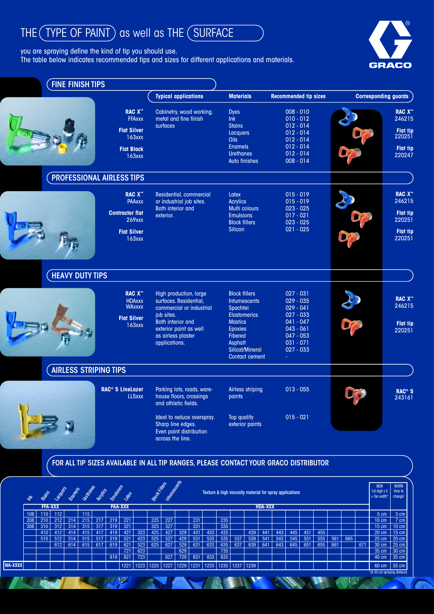# THE (TYPE OF PAINT) as well as THE (SURFACE

you are spraying define the kind of tip you should use.

 $108$ 208 308

**WA-XXXX**

110 112 210 212 214

**FFA-XXX**

510 512 514

310 312 314 315 317 410 | 412 | 414 | 415 | 417

612 614 615 617 619

515 517

1221 1223 1225

723

323 423

523 625 627

227  $\frac{1}{327}$ 527

231  $\frac{1}{331}$  $\frac{1}{431}$  $\frac{131}{531}$ 631 831 1231

**PAA-XXX HDA-XXX** 

235 335

735 835 1235

535 537 539 541

439 441

1237 1239

635 | 637 | 639 | 641 | 643 | 645 | 651 | 655 | 661

 $443$  $\frac{11}{543}$ 

445 451 455

545 551 555 561 665

671

 $\overline{u}$ 

 $*$ at 30 cm spr

5 cm 3 cm 10 cm 15 cm 20 cm 15 cm 25 cm 20 cm 30 cm 35 cm 40 cm 35 cm 60 cm 55 cm

7 cm 10 cm

25 cm 30 cm

827 1227 1229

819

US.

115 215 217

The table below indicates recommended tips and sizes for different applications and materials.



| <b>FINE FINISH TIPS</b>      |                                                                       |                                                                                                |                                                                                                                         |                                                                         |                                               |                                   |
|------------------------------|-----------------------------------------------------------------------|------------------------------------------------------------------------------------------------|-------------------------------------------------------------------------------------------------------------------------|-------------------------------------------------------------------------|-----------------------------------------------|-----------------------------------|
|                              |                                                                       | <b>Typical applications</b>                                                                    | <b>Materials</b>                                                                                                        | <b>Recommended tip sizes</b>                                            | <b>Corresponding guards</b>                   |                                   |
|                              | <b>RAC X™</b><br><b>FFAxxx</b>                                        | Cabinetry, wood working,<br>metal and fine finish<br>surfaces                                  | <b>Dyes</b><br>Ink<br><b>Stains</b>                                                                                     | $008 - 010$<br>$010 - 012$<br>$012 - 014$                               |                                               | <b>RAC X™</b><br>246215           |
|                              | <b>Flat Silver</b><br>163xxx                                          |                                                                                                | Lacquers<br>Oils                                                                                                        | $012 - 014$<br>$012 - 014$                                              |                                               | <b>Flat tip</b><br>220251         |
|                              | <b>Flat Black</b><br>163xxx                                           |                                                                                                | <b>Enamels</b><br><b>Urethanes</b><br><b>Auto finishes</b>                                                              | $012 - 014$<br>$012 - 014$<br>$008 - 014$                               |                                               | <b>Flat tip</b><br>220247         |
|                              | PROFESSIONAL AIRLESS TIPS                                             |                                                                                                |                                                                                                                         |                                                                         |                                               |                                   |
|                              | <b>RAC X™</b><br><b>PAAxxx</b>                                        | Residential, commercial<br>or industrial job sites.<br><b>Both interior and</b>                | Latex<br><b>Acrylics</b><br><b>Multi colours</b>                                                                        | $015 - 019$<br>$015 - 019$<br>$023 - 025$                               |                                               | <b>RAC X™</b><br>246215           |
|                              | <b>Contractor flat</b><br>269xxx                                      | exterior.                                                                                      | <b>Emulsions</b><br><b>Block fillers</b>                                                                                | $017 - 021$<br>$023 - 025$                                              | Dra                                           | <b>Flat tip</b><br>220251         |
|                              | <b>Flat Silver</b><br>163xxx                                          |                                                                                                | <b>Silicon</b>                                                                                                          | $021 - 025$                                                             | Origi                                         | <b>Flat tip</b><br>220251         |
| <b>HEAVY DUTY TIPS</b>       |                                                                       |                                                                                                |                                                                                                                         |                                                                         |                                               |                                   |
|                              | <b>RAC X™</b><br><b>HDAxxx</b><br><b>WAxxxx</b><br><b>Flat Silver</b> | High production, large<br>surfaces. Residential,<br>commercial or industrial<br>job sites.     | <b>Block fillers</b><br><b>Intumescents</b><br>Spachtel<br><b>Elastomerics</b>                                          | $027 - 031$<br>$029 - 035$<br>$029 - 041$<br>$027 - 033$                |                                               | <b>RAC X™</b><br>246215           |
|                              | 163xxx                                                                | Both interior and<br>exterior paint as well<br>as airless plaster<br>applications.             | <b>Mastics</b><br><b>Epoxies</b><br><b>Fibered</b><br><b>Asphalt</b><br><b>Silicat/Mineral</b><br><b>Contact cement</b> | $041 - 047$<br>$043 - 061$<br>$047 - 053$<br>$031 - 071$<br>$027 - 033$ |                                               | Flat tip<br>220251                |
| <b>AIRLESS STRIPING TIPS</b> |                                                                       |                                                                                                |                                                                                                                         |                                                                         |                                               |                                   |
|                              | RAC <sup>®</sup> 5 LineLazer<br>LL5xxx                                | Parking lots, roads, ware-<br>house floors, crossings<br>and athletic fields.                  | <b>Airless striping</b><br>paints                                                                                       | $013 - 055$                                                             |                                               | RAC <sup>®</sup> 5<br>243161      |
|                              |                                                                       | Ideal to reduce overspray.<br>Sharp line edges.<br>Even paint distribution<br>across the line. | Top quality<br>exterior paints                                                                                          | $015 - 021$                                                             |                                               |                                   |
|                              |                                                                       | FOR ALL TIP SIZES AVAILABLE IN ALL TIP RANGES, PLEASE CONTACT YOUR GRACO DISTRIBUTOR           |                                                                                                                         |                                                                         |                                               |                                   |
| ERECTION CONTROLLED          |                                                                       |                                                                                                | Texture & high viscosity material for spray applications                                                                |                                                                         | <b>NEW</b><br>1st digit x 5<br>$=$ fan width* | <b>WORN</b><br>time to<br>change! |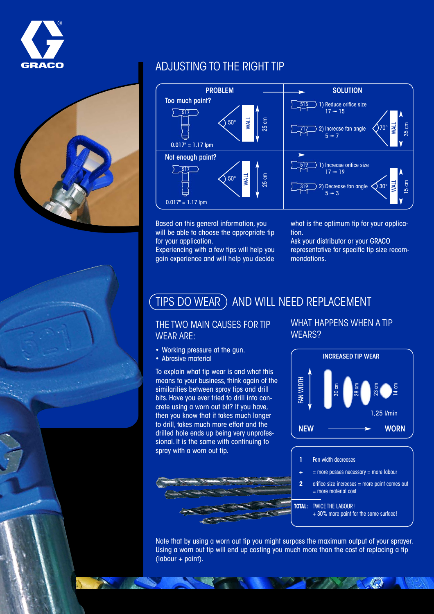



## ADJUSTING TO THE RIGHT TIP



Based on this general information, you will be able to choose the appropriate tip for your application.

Experiencing with a few tips will help you gain experience and will help you decide what is the optimum tip for your application.

Ask your distributor or your GRACO representative for specific tip size recommendations.

### TIPS DO WEAR ) AND WILL NEED REPLACEMENT

#### THE TWO MAIN CAUSES FOR TIP WEAR ARE:

- Working pressure at the gun.
- Abrasive material

To explain what tip wear is and what this means to your business, think again of the similarities between spray tips and drill bits. Have you ever tried to drill into concrete using a worn out bit? If you have, then you know that it takes much longer to drill, takes much more effort and the drilled hole ends up being very unprofessional. It is the same with continuing to spray with a worn out tip.



### WHAT HAPPENS WHEN A TIP WEARS?



**1 +** Fan width decreases

- $=$  more passes necessary  $=$  more labour
- orifice size increases = more paint comes out = more material cost

**TOTAL:** TWICE THE LABOUR!

**2**

+ 30% more paint for the same surface!

 $\langle \cdot \rangle$ 

Note that by using a worn out tip you might surpass the maximum output of your sprayer. Using a worn out tip will end up costing you much more than the cost of replacing a tip (labour + paint).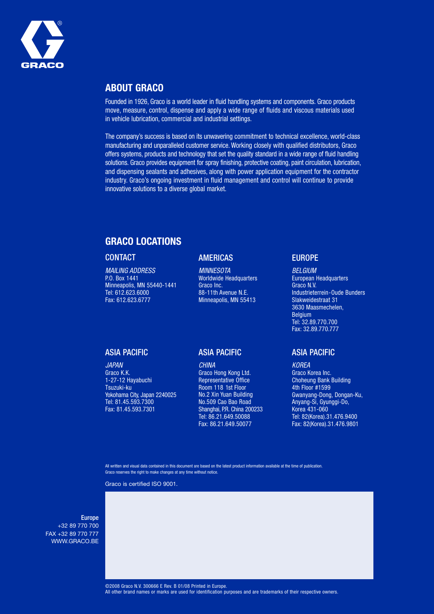

#### **ABOUT GRACO**

Founded in 1926, Graco is a world leader in fluid handling systems and components. Graco products move, measure, control, dispense and apply a wide range of fluids and viscous materials used in vehicle lubrication, commercial and industrial settings.

The company's success is based on its unwavering commitment to technical excellence, world-class manufacturing and unparalleled customer service. Working closely with qualified distributors, Graco offers systems, products and technology that set the quality standard in a wide range of fluid handling solutions. Graco provides equipment for spray finishing, protective coating, paint circulation, lubrication, and dispensing sealants and adhesives, along with power application equipment for the contractor industry. Graco's ongoing investment in fluid management and control will continue to provide innovative solutions to a diverse global market.

#### **GRACO LOCATIONS**

#### **CONTACT**

MAILING ADDRESS P.O. Box 1441 Minneapolis, MN 55440-1441 Tel: 612.623.6000 Fax: 612.623.6777

#### AMERICAS

**MINNESOTA** Worldwide Headquarters Graco Inc. 88-11th Avenue N.E. Minneapolis, MN 55413

#### ASIA PACIFIC

JAPAN Graco K.K. 1-27-12 Hayabuchi Tsuzuki-ku Yokohama City, Japan 2240025 Tel: 81.45.593.7300 Fax: 81.45.593.7301

#### ASIA PACIFIC

**CHINA** Graco Hong Kong Ltd. Representative Office Room 118 1st Floor No.2 Xin Yuan Building No.509 Cao Bao Road Shanghai, P.R. China 200233 Tel: 86.21.649.50088 Fax: 86.21.649.50077

#### EUROPE

BELGIUM European Headquarters Graco N.V. Industrieterrein-Oude Bunders Slakweidestraat 31 3630 Maasmechelen, Belgium Tel: 32.89.770.700 Fax: 32.89.770.777

#### ASIA PACIFIC

KOREA Graco Korea Inc. Choheung Bank Building 4th Floor #1599 Gwanyang-Dong, Dongan-Ku, Anyang-Si, Gyunggi-Do, Korea 431-060 Tel: 82(Korea).31.476.9400 Fax: 82(Korea).31.476.9801

All written and visual data contained in this document are based on the latest product information available at the time of publication. Graco reserves the right to make changes at any time without notice.

Graco is certified ISO 9001.

#### Europe

+32 89 770 700 FAX +32 89 770 777 WWW.GRACO.BE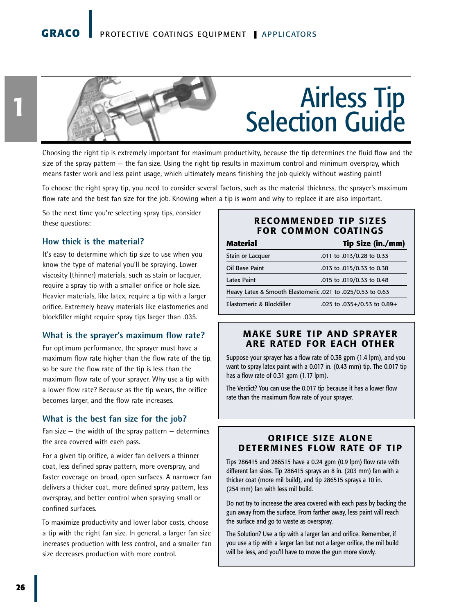### **GRACO** PROTECTIVE COATINGS EQUIPMENT **I** APPLICATORS



#### Choosing the right tip is extremely important for maximum productivity, because the tip determines the fluid flow and the size of the spray pattern — the fan size. Using the right tip results in maximum control and minimum overspray, which means faster work and less paint usage, which ultimately means finishing the job quickly without wasting paint!

To choose the right spray tip, you need to consider several factors, such as the material thickness, the sprayer's maximum flow rate and the best fan size for the job. Knowing when a tip is worn and why to replace it are also important.

So the next time you're selecting spray tips, consider these questions:

#### **How thick is the material?**

It's easy to determine which tip size to use when you know the type of material you'll be spraying. Lower viscosity (thinner) materials, such as stain or lacquer, require a spray tip with a smaller orifice or hole size. Heavier materials, like latex, require a tip with a larger orifice. Extremely heavy materials like elastomerics and blockfiller might require spray tips larger than .035.

#### **What is the sprayer's maximum flow rate?**

For optimum performance, the sprayer must have a maximum flow rate higher than the flow rate of the tip, so be sure the flow rate of the tip is less than the maximum flow rate of your sprayer. Why use a tip with a lower flow rate? Because as the tip wears, the orifice becomes larger, and the flow rate increases.

#### **What is the best fan size for the job?**

Fan size  $-$  the width of the spray pattern  $-$  determines the area covered with each pass.

For a given tip orifice, a wider fan delivers a thinner coat, less defined spray pattern, more overspray, and faster coverage on broad, open surfaces. A narrower fan delivers a thicker coat, more defined spray pattern, less overspray, and better control when spraying small or confined surfaces.

To maximize productivity and lower labor costs, choose a tip with the right fan size. In general, a larger fan size increases production with less control, and a smaller fan size decreases production with more control.

#### **RECOMMENDED TIP SIZES FOR COMMON COATINGS**

| <b>Material</b>                                            | Tip Size (in./mm)           |
|------------------------------------------------------------|-----------------------------|
| Stain or Lacquer                                           | .011 to .013/0.28 to 0.33   |
| Oil Base Paint                                             | .013 to .015/0.33 to 0.38   |
| Latex Paint                                                | .015 to .019/0.33 to 0.48   |
| Heavy Latex & Smooth Elastomeric .021 to .025/0.53 to 0.63 |                             |
| Elastomeric & Blockfiller                                  | .025 to .035+/0.53 to 0.89+ |

#### **MAKE SURE TIP AND SPRAYER ARE RATED FOR EACH OTHER**

Suppose your sprayer has a flow rate of 0.38 gpm (1.4 lpm), and you want to spray latex paint with a 0.017 in. (0.43 mm) tip. The 0.017 tip has a flow rate of 0.31 gpm (1.17 lpm).

The Verdict? You can use the 0.017 tip because it has a lower flow rate than the maximum flow rate of your sprayer.

#### **ORIFICE SIZE ALONE DETERMINES FLOW RATE OF TIP**

Tips 286415 and 286515 have a 0.24 gpm (0.9 lpm) flow rate with different fan sizes. Tip 286415 sprays an 8 in. (203 mm) fan with a thicker coat (more mil build), and tip 286515 sprays a 10 in. (254 mm) fan with less mil build.

Do not try to increase the area covered with each pass by backing the gun away from the surface. From farther away, less paint will reach the surface and go to waste as overspray.

The Solution? Use a tip with a larger fan and orifice. Remember, if you use a tip with a larger fan but not a larger orifice, the mil build will be less, and you'll have to move the gun more slowly.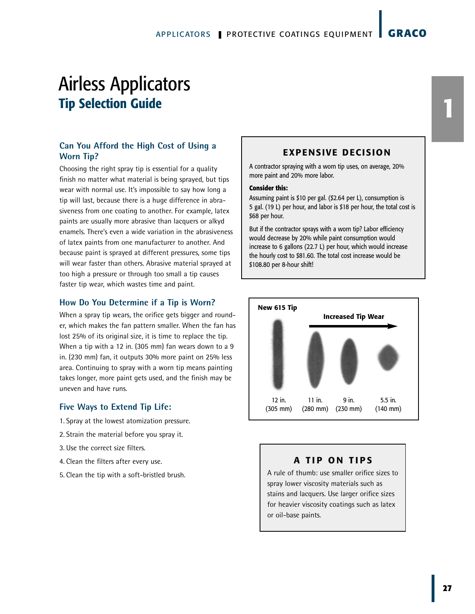#### **Can You Afford the High Cost of Using a Worn Tip?**

Choosing the right spray tip is essential for a quality finish no matter what material is being sprayed, but tips wear with normal use. It's impossible to say how long a tip will last, because there is a huge difference in abrasiveness from one coating to another. For example, latex paints are usually more abrasive than lacquers or alkyd enamels. There's even a wide variation in the abrasiveness of latex paints from one manufacturer to another. And because paint is sprayed at different pressures, some tips will wear faster than others. Abrasive material sprayed at too high a pressure or through too small a tip causes faster tip wear, which wastes time and paint.

#### **How Do You Determine if a Tip is Worn?**

When a spray tip wears, the orifice gets bigger and rounder, which makes the fan pattern smaller. When the fan has lost 25% of its original size, it is time to replace the tip. When a tip with a 12 in. (305 mm) fan wears down to a 9 in. (230 mm) fan, it outputs 30% more paint on 25% less area. Continuing to spray with a worn tip means painting takes longer, more paint gets used, and the finish may be uneven and have runs.

#### **Five Ways to Extend Tip Life:**

- 1.Spray at the lowest atomization pressure.
- 2.Strain the material before you spray it.
- 3.Use the correct size filters.
- 4.Clean the filters after every use.
- 5.Clean the tip with a soft-bristled brush.

#### **EXPENSIVE DECISION**

A contractor spraying with a worn tip uses, on average, 20% more paint and 20% more labor.

#### **Consider this:**

Assuming paint is \$10 per gal. (\$2.64 per L), consumption is 5 gal. (19 L) per hour, and labor is \$18 per hour, the total cost is \$68 per hour.

But if the contractor sprays with a worn tip? Labor efficiency would decrease by 20% while paint consumption would increase to 6 gallons (22.7 L) per hour, which would increase the hourly cost to \$81.60. The total cost increase would be \$108.80 per 8-hour shift!



#### **A TIP ON TIPS**

A rule of thumb: use smaller orifice sizes to spray lower viscosity materials such as stains and lacquers. Use larger orifice sizes for heavier viscosity coatings such as latex or oil-base paints.

**1**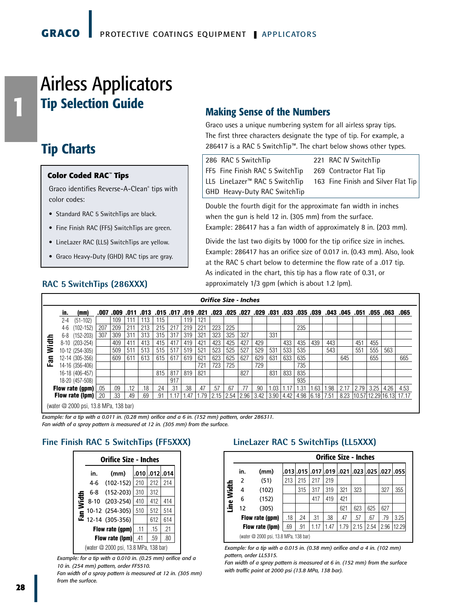# Airless Applicators **Tip Selection Guide Making Sense of the Numbers**

### **Tip Charts**

**1**

#### **Color Coded RAC™ Tips**

Graco identifies Reverse-A-Clean® tips with color codes:

- Standard RAC 5 SwitchTips are black.
- Fine Finish RAC (FF5) SwitchTips are green.
- LineLazer RAC (LL5) SwitchTips are yellow.
- Graco Heavy-Duty (GHD) RAC tips are gray.

Graco uses a unique numbering system for all airless spray tips. The first three characters designate the type of tip. For example, a 286417 is a RAC 5 SwitchTip™. The chart below shows other types.

| 286 RAC 5 SwitchTip                        | 221 RAC IV SwitchTip                |
|--------------------------------------------|-------------------------------------|
| FF5 Fine Finish RAC 5 SwitchTip            | 269 Contractor Flat Tip             |
| LL5 LineLazer <sup>™</sup> RAC 5 SwitchTip | 163 Fine Finish and Silver Flat Tip |
| GHD Heavy-Duty RAC SwitchTip               |                                     |

Double the fourth digit for the approximate fan width in inches when the gun is held 12 in. (305 mm) from the surface. Example: 286417 has a fan width of approximately 8 in. (203 mm).

Divide the last two digits by 1000 for the tip orifice size in inches. Example: 286417 has an orifice size of 0.017 in. (0.43 mm). Also, look at the RAC 5 chart below to determine the flow rate of a .017 tip. As indicated in the chart, this tip has a flow rate of 0.31, or approximately 1/3 gpm (which is about 1.2 lpm).

|   |         |                                       |      |      |      |      |                     |     |     |      |      | <b>Orifice Size - Inches</b> |          |           |     |      |                                         |     |      |              |      |          |      |                              |
|---|---------|---------------------------------------|------|------|------|------|---------------------|-----|-----|------|------|------------------------------|----------|-----------|-----|------|-----------------------------------------|-----|------|--------------|------|----------|------|------------------------------|
|   | in.     | (mm)                                  | .007 | .009 | .011 | .013 | .015 .017 .019 .021 |     |     |      | .023 |                              | .025.027 | .029 .031 |     |      | .033 .035 .039                          |     |      | .043.045.051 |      | .055.063 |      | .065                         |
|   | $2 - 4$ | $(51-102)$                            |      | 109  |      | 113  | 115                 |     | 119 | 121  |      |                              |          |           |     |      |                                         |     |      |              |      |          |      |                              |
|   | $4-6$   | $(102 - 152)$                         | 207  | 209  | 211  | 213  | 215                 | 217 | 219 | 221  | 223  | 225                          |          |           |     |      | 235                                     |     |      |              |      |          |      |                              |
|   | 6-8     | $(152 - 203)$                         | 307  | 309  | 311  | 313  | 315                 | 317 | 319 | 321  | 323  | 325                          | 327      |           | 331 |      |                                         |     |      |              |      |          |      |                              |
| 휼 |         | 8-10 (203-254)                        |      | 409  | 411  | 413  | 415                 | 417 | 419 | 421  | 423  | 425                          | 427      | 429       |     | 433  | 435                                     | 439 | 443  |              | 451  | 455      |      |                              |
| ≳ |         | 10-12 (254-305)                       |      | 509  | 511  | 513  | 515                 | 517 | 519 | 521  | 523  | 525                          | 527      | 529       | 531 | 533  | 535                                     |     | 543  |              | 551  | 555      | 563  |                              |
| 區 |         | 12-14 (305-356)                       |      | 609  | 611  | 613  | 615                 | 617 | 619 | 621  | 623  | 625                          | 627      | 629       | 631 | 633  | 635                                     |     |      | 645          |      | 655      |      | 665                          |
|   |         | 14-16 (356-406)                       |      |      |      |      |                     |     |     | 721  | 723  | 725                          |          | 729       |     |      | 735                                     |     |      |              |      |          |      |                              |
|   |         | 16-18 (406-457)                       |      |      |      |      | 815                 | 817 | 819 | 821  |      |                              | 827      |           | 831 | 833  | 835                                     |     |      |              |      |          |      |                              |
|   |         | 18-20 (457-508)                       |      |      |      |      |                     | 917 |     |      |      |                              |          |           |     |      | 935                                     |     |      |              |      |          |      |                              |
|   |         | Flow rate (gpm)                       | .05  | .09  | .12  | .18  | .24                 | .31 | .38 | .47  | .57  | .67                          | .77      | .90       | .03 | 1.17 | 1.31                                    | .63 | l.98 | 2.17         | 2.79 | 3.25     | 4.26 | 4.53                         |
|   |         | Flow rate (lpm)                       | .20  | .33  | .49  | .69  | .91                 | 17  | 47  | 1.79 |      | $2.15$   2.54   2.96         |          |           |     |      | 3.42   3.90   4.42   4.98   6.18   7.51 |     |      |              |      |          |      | 8.23 10.57 12.29 16.13 17.17 |
|   |         | (water @ 2000 psi, 13.8 MPa, 138 bar) |      |      |      |      |                     |     |     |      |      |                              |          |           |     |      |                                         |     |      |              |      |          |      |                              |

*Example: for a tip with a 0.011 in. (0.28 mm) orifice and a 6 in. (152 mm) pattern, order 286311. Fan width of a spray pattern is measured at 12 in. (305 mm) from the surface.*

#### **Fine Finish RAC 5 SwitchTips (FF5XXX)**



*Example: for a tip with a 0.010 in. (0.25 mm) orifice and a 10 in. (254 mm) pattern, order FF5510.*

*Fan width of a spray pattern is measured at 12 in. (305 mm) from the surface.*

#### **LineLazer RAC 5 SwitchTips (LL5XXX)**

|                                                                                          |     |                                                                                                                                                                                                                                            |     |     |      |      | <b>Orifice Size - Inches</b> |      |      |                                              |       |  |  |  |
|------------------------------------------------------------------------------------------|-----|--------------------------------------------------------------------------------------------------------------------------------------------------------------------------------------------------------------------------------------------|-----|-----|------|------|------------------------------|------|------|----------------------------------------------|-------|--|--|--|
|                                                                                          | in. | (mm)                                                                                                                                                                                                                                       |     |     |      |      |                              |      |      | .013 .015 .017 .019 .021 .023 .025 .027 .055 |       |  |  |  |
|                                                                                          | 2   | (51)                                                                                                                                                                                                                                       | 213 | 215 | 217  | 219  |                              |      |      |                                              |       |  |  |  |
|                                                                                          | 4   | (102)                                                                                                                                                                                                                                      |     | 315 | 317  | 319  | 321                          | 323  |      | 327                                          | 355   |  |  |  |
| Line Width<br>417<br>419<br>421<br>(152)<br>6<br>621<br>623<br>625<br>627<br>(305)<br>12 |     |                                                                                                                                                                                                                                            |     |     |      |      |                              |      |      |                                              |       |  |  |  |
|                                                                                          |     |                                                                                                                                                                                                                                            |     |     |      |      |                              |      |      |                                              |       |  |  |  |
|                                                                                          |     | Flow rate (gpm)                                                                                                                                                                                                                            | .18 | .24 | .31  | .38  | .47                          | .57  | .67  | .79                                          | 3.25  |  |  |  |
|                                                                                          |     | Flow rate (lpm)                                                                                                                                                                                                                            | .69 | .91 | 1.17 | 1.47 | 1.79                         | 2.15 | 2.54 | 2.96                                         | 12.29 |  |  |  |
|                                                                                          |     | (water @ 2000 psi, 13.8 MPa, 138 bar)                                                                                                                                                                                                      |     |     |      |      |                              |      |      |                                              |       |  |  |  |
|                                                                                          |     | Example: for a tip with a 0.015 in. (0.38 mm) orifice and a 4 in. (102 mm)<br>pattern, order LL5315.<br>Fan width of a spray pattern is measured at 6 in. (152 mm) from the surface<br>with traffic paint at 2000 psi (13.8 MPa, 138 bar). |     |     |      |      |                              |      |      |                                              |       |  |  |  |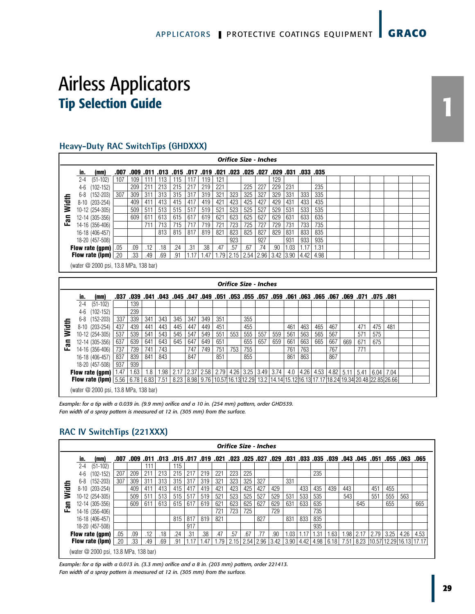#### **Heavy-Duty RAC SwitchTips (GHDXXX)**

|      |         |                                       |      |      |     |     |                                                              |       |      |      |      |     | <b>Orifice Size - Inches</b> |               |      |                   |      |  |  |  |  |
|------|---------|---------------------------------------|------|------|-----|-----|--------------------------------------------------------------|-------|------|------|------|-----|------------------------------|---------------|------|-------------------|------|--|--|--|--|
|      | in.     | (mm)                                  | .007 | .009 |     |     | .031, 029, 027, 025, 023, 021, 019, 017, 017, 015, 011, 011, |       |      |      |      |     |                              |               |      | .033 .035         |      |  |  |  |  |
|      | $2 - 4$ | $(51-102)$                            | 107  | 109  |     | 113 | 115                                                          | 117   | 119  | 121  |      |     |                              | 129           |      |                   |      |  |  |  |  |
|      | 4-6     | $(102 - 152)$                         |      | 209  | 211 | 213 | 215                                                          | 217   | 219  | 221  |      | 225 | 227                          | 229           | 231  |                   | 235  |  |  |  |  |
|      |         | 6-8 (152-203)                         | 307  | 309  | 311 | 313 | 315                                                          | 317   | 319  | 321  | 323  | 325 | 327                          | 329           | 331  | 333               | 335  |  |  |  |  |
| idth |         | 8-10 (203-254)                        |      | 409  | 411 | 413 | 415                                                          | 417   | 419  | 421  | 423  | 425 | 427                          | 429           | 431  | 433               | 435  |  |  |  |  |
| ≷    |         | 10-12 (254-305)                       |      | 509  | 511 | 513 | 515                                                          | 517   | 519  | 521  | 523  | 525 | 527                          | 529           | 531  | 533               | 535  |  |  |  |  |
| Fan  |         | 12-14 (305-356)                       |      | 609  | 611 | 613 | 615                                                          | 617   | 619  | 621  | 623  | 625 | 627                          | 629           | 631  | 633               | 635  |  |  |  |  |
|      |         | 14-16 (356-406)                       |      |      | 711 | 713 | 715                                                          | 717   | 719  | 721  | 723  | 725 | 727                          | 729           | 731  | 733               | 735  |  |  |  |  |
|      |         | 16-18 (406-457)                       |      |      |     | 813 | 815                                                          | 817   | 819  | 821  | 823  | 825 | 827                          | 829           | 831  | 833               | 835  |  |  |  |  |
|      |         | 18-20 (457-508)                       |      |      |     |     |                                                              |       |      |      | 923  |     | 927                          |               | 931  | 933               | 935  |  |  |  |  |
|      |         | Flow rate (gpm) $.05$                 |      | .09  | .12 | .18 | .24                                                          | .31   | .38  | .47  | .57  | .67 | .74                          | .90           | 1.03 | 1.17 <sub>1</sub> | 1.31 |  |  |  |  |
|      |         | <b>Flow rate (lpm)</b> $ .20$         |      | .33  | .49 | .69 | .91                                                          | 1 1 7 | 1.47 | 1.79 | 2.15 |     | $2.54$   2.96                | $3.42$ $3.90$ |      | 4.42              | 4.98 |  |  |  |  |
|      |         | (water @ 2000 psi, 13.8 MPa, 138 bar) |      |      |     |     |                                                              |       |      |      |      |     |                              |               |      |                   |      |  |  |  |  |

|       |         |                                                                                                                                                                                                                        |             |      |      |      |                                                                                                |     |                |          |     |     | <b>Orifice Size - Inches</b> |                          |     |     |     |     |     |      |                                 |      |  |
|-------|---------|------------------------------------------------------------------------------------------------------------------------------------------------------------------------------------------------------------------------|-------------|------|------|------|------------------------------------------------------------------------------------------------|-----|----------------|----------|-----|-----|------------------------------|--------------------------|-----|-----|-----|-----|-----|------|---------------------------------|------|--|
|       | in.     | (mm)                                                                                                                                                                                                                   | .037        | .039 | .041 | .043 |                                                                                                |     | .045 .047 .049 | .051.053 |     |     |                              | .063 .051 .059 .061 .053 |     |     |     |     |     |      | .081 75. 071. 069 071. 050. 075 |      |  |
|       | $2 - 4$ | $(51-102)$                                                                                                                                                                                                             |             | 139  |      |      |                                                                                                |     |                |          |     |     |                              |                          |     |     |     |     |     |      |                                 |      |  |
|       | $4-6$   | $(102 - 152)$                                                                                                                                                                                                          |             | 239  |      |      |                                                                                                |     |                |          |     |     |                              |                          |     |     |     |     |     |      |                                 |      |  |
|       | 6-8     | $(152 - 203)$                                                                                                                                                                                                          | 337         | 339  | 341  | 343  | 345                                                                                            | 347 | 349            | 351      |     | 355 |                              |                          |     |     |     |     |     |      |                                 |      |  |
| Width |         | 8-10 (203-254)                                                                                                                                                                                                         | 437         | 439  | 441  | 443  | 445                                                                                            | 447 | 449            | 451      |     | 455 |                              |                          | 461 | 463 | 465 | 467 |     | 471  | 475                             | 481  |  |
|       |         | 10-12 (254-305)                                                                                                                                                                                                        | 537         | 539  | 541  | 543  | 545                                                                                            | 547 | 549            | 551      | 553 | 555 | 557                          | 559                      | 561 | 563 | 565 | 567 |     | 571  | 575                             |      |  |
| 詞     |         | 12-14 (305-356)                                                                                                                                                                                                        | 637         | 639  | 641  | 643  | 645                                                                                            | 647 | 649            | 651      |     | 655 | 657                          | 659                      | 661 | 663 | 665 | 667 | 669 | 671  | 675                             |      |  |
|       |         | 14-16 (356-406)                                                                                                                                                                                                        | 737         | 739  | 741  | 743  |                                                                                                | 747 | 749            | 751      | 753 | 755 |                              |                          | 761 | 763 |     | 767 |     | 771  |                                 |      |  |
|       |         | 16-18 (406-457)                                                                                                                                                                                                        | 837         | 839  | 841  | 843  |                                                                                                | 847 |                | 851      |     | 855 |                              |                          | 861 | 863 |     | 867 |     |      |                                 |      |  |
|       |         | 18-20 (457-508)                                                                                                                                                                                                        | $\vert$ 937 | 939  |      |      |                                                                                                |     |                |          |     |     |                              |                          |     |     |     |     |     |      |                                 |      |  |
|       |         | Flow rate (gpm) $\left  \frac{1.47}{1.47} \right $                                                                                                                                                                     |             | 1.63 | 1.8  |      | 1.98   2.17   2.37   2.58   2.79   4.26   3.25   3.49   3.74   4.0   4.26   4.53   4.82   5.11 |     |                |          |     |     |                              |                          |     |     |     |     |     | 5.41 | 6.04                            | 7.04 |  |
|       |         | <b>Flow rate (lpm)</b> $\left[5.56 \right] 6.78$ $\left[6.83 \right]$ 7.51 $\left[8.23 \right] 8.98$ $\left[9.76 \right] 10.57$ 16.13 12.29 13.2 $\left[14.14 \right] 15.12$ 16.13 17.17 18.24 19.34 20.48 22.85 26.66 |             |      |      |      |                                                                                                |     |                |          |     |     |                              |                          |     |     |     |     |     |      |                                 |      |  |
|       |         | (water @ 2000 psi, 13.8 MPa, 138 bar)                                                                                                                                                                                  |             |      |      |      |                                                                                                |     |                |          |     |     |                              |                          |     |     |     |     |     |      |                                 |      |  |

*Example: for a tip with a 0.039 in. (9.9 mm) orifice and a 10 in. (254 mm) pattern, order GHD539. Fan width of a spray pattern is measured at 12 in. (305 mm) from the surface.*

#### **RAC IV SwitchTips (221XXX)**

|       |         |                                       |      |      |      |      |     |     |                |      | <b>Orifice Size - Inches</b> |      |             |                          |      |      |           |      |        |                |      |      |                              |      |
|-------|---------|---------------------------------------|------|------|------|------|-----|-----|----------------|------|------------------------------|------|-------------|--------------------------|------|------|-----------|------|--------|----------------|------|------|------------------------------|------|
|       | in.     | (mm)                                  | .007 | .009 | .011 | .013 |     |     | .015 .017 .019 | .021 |                              |      |             | .023 .025 .027 .029 .031 |      |      | .033 .035 | .039 |        | .043 .045 .051 |      | .055 | .063                         | .065 |
|       | $2 - 4$ | $(51-102)$                            |      |      | 111  |      | 115 |     |                |      |                              |      |             |                          |      |      |           |      |        |                |      |      |                              |      |
|       | $4-6$   | (102-152)                             | 207  | 209  | 211  | 213  | 215 | 217 | 219            | 221  | 223                          | 225  |             |                          |      |      | 235       |      |        |                |      |      |                              |      |
|       | $6 - 8$ | $(152 - 203)$                         | 307  | 309  | 311  | 313  | 315 | 317 | 319            | 321  | 323                          | 325  | 327         |                          | 331  |      |           |      |        |                |      |      |                              |      |
| Width |         | 8-10 (203-254)                        |      | 409  | 411  | 413  | 415 | 417 | 419            | 421  | 423                          | 425  | 427         | 429                      |      | 433  | 435       | 439  | 443    |                | 451  | 455  |                              |      |
|       |         | 10-12 (254-305)                       |      | 509  | 511  | 513  | 515 | 517 | 519            | 521  | 523                          | 525  | 527         | 529                      | 531  | 533  | 535       |      | 543    |                | 551  | 555  | 563                          |      |
| 遠     |         | 12-14 (305-356)                       |      | 609  | 611  | 613  | 615 | 617 | 619            | 621  | 623                          | 625  | 627         | 629                      | 631  | 633  | 635       |      |        | 645            |      | 655  |                              | 665  |
|       |         | 14-16 (356-406)                       |      |      |      |      |     |     |                | 721  | 723                          | 725  |             | 729                      |      |      | 735       |      |        |                |      |      |                              |      |
|       |         | 16-18 (406-457)                       |      |      |      |      | 815 | 817 | 819            | 821  |                              |      | 827         |                          | 831  | 833  | 835       |      |        |                |      |      |                              |      |
|       |         | 18-20 (457-508)                       |      |      |      |      |     | 917 |                |      |                              |      |             |                          |      |      | 935       |      |        |                |      |      |                              |      |
|       |         | Flow rate (gpm)                       | .05  | .09  | .12  | .18  | .24 | .31 | .38            | .47  | .57                          | .67  | .77         | .90                      | .03  | 1.17 | 1.31      | 1.63 | ا 98.، | 2.17           | 2.79 | 3.25 | 4.26                         | 4.53 |
|       |         | Flow rate (lpm)                       | .20  | .33  | .49  | .69  | .91 |     | .47            | .79  | 2.15                         | 2.54 | $2.96$ 3.42 |                          | 3.90 | 4.42 | 4.98      | 6.18 | 7.51   |                |      |      | 8.23 10.57 12.29 16.13 17.17 |      |
|       |         | (water @ 2000 psi, 13.8 MPa, 138 bar) |      |      |      |      |     |     |                |      |                              |      |             |                          |      |      |           |      |        |                |      |      |                              |      |

*Example: for a tip with a 0.013 in. (3.3 mm) orifice and a 8 in. (203 mm) pattern, order 221413. Fan width of a spray pattern is measured at 12 in. (305 mm) from the surface.*

**1**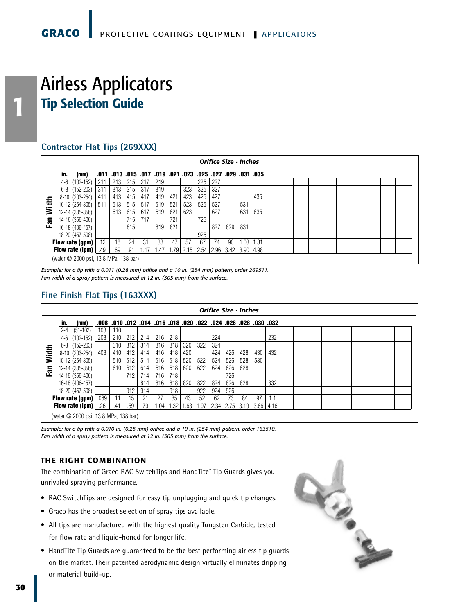#### **Contractor Flat Tips (269XXX)**

|      |                                                                                                                                                                                   |     |     |     |       |                                                                  |      |                 |     |           | <b>Orifice Size - Inches</b> |             |      |  |  |  |  |  |  |  |
|------|-----------------------------------------------------------------------------------------------------------------------------------------------------------------------------------|-----|-----|-----|-------|------------------------------------------------------------------|------|-----------------|-----|-----------|------------------------------|-------------|------|--|--|--|--|--|--|--|
|      | (mm)<br>in.                                                                                                                                                                       |     |     |     |       | 035. 031. 029. 027. 025. 023. 021. 019. 019. 017. 015. 013. 011. |      |                 |     |           |                              |             |      |  |  |  |  |  |  |  |
|      | $4-6$<br>$(102 - 152)$                                                                                                                                                            | 211 | 213 | 215 | 217   | 219                                                              |      |                 | 225 | 227       |                              |             |      |  |  |  |  |  |  |  |
|      | $(152 - 203)$<br>6-8                                                                                                                                                              | 311 | 313 | 315 | 317   | 319                                                              |      | 323             | 325 | 327       |                              |             |      |  |  |  |  |  |  |  |
|      | 419<br>425<br>427<br>411<br>413<br>417<br>421<br>435<br>415<br>423<br>$8-10$ $(203-254)$<br>511<br>513<br>519<br>523<br>525<br>527<br>10-12 (254-305)<br>517<br>521<br>531<br>515 |     |     |     |       |                                                                  |      |                 |     |           |                              |             |      |  |  |  |  |  |  |  |
| idth |                                                                                                                                                                                   |     |     |     |       |                                                                  |      |                 |     |           |                              |             |      |  |  |  |  |  |  |  |
| ₹    | 12-14 (305-356)                                                                                                                                                                   |     | 613 | 615 | 617   | 619                                                              | 621  | 623             |     | 627       |                              | 631         | 635  |  |  |  |  |  |  |  |
| Fan  | 14-16 (356-406)                                                                                                                                                                   |     |     | 715 | 717   |                                                                  | 721  |                 | 725 |           |                              |             |      |  |  |  |  |  |  |  |
|      | 16-18 (406-457)                                                                                                                                                                   |     |     | 815 |       | 819                                                              | 821  |                 |     | 827       | 829                          | 831         |      |  |  |  |  |  |  |  |
|      | 18-20 (457-508)                                                                                                                                                                   |     |     |     |       |                                                                  |      |                 | 925 |           |                              |             |      |  |  |  |  |  |  |  |
|      | Flow rate (gpm) $\lfloor$                                                                                                                                                         | .12 | .18 | .24 | .31   | .38                                                              | .47  | .57             | .67 | .74       | .90                          | 1.03        | 1.31 |  |  |  |  |  |  |  |
|      | Flow rate (lpm) $.49$                                                                                                                                                             |     | .69 | .91 | 1 1 7 | 47                                                               | 1.79 | $2.15$   $2.54$ |     | 2.96 3.42 |                              | 3.90   4.98 |      |  |  |  |  |  |  |  |
|      | (water @ 2000 psi, 13.8 MPa, 138 bar)                                                                                                                                             |     |     |     |       |                                                                  |      |                 |     |           |                              |             |      |  |  |  |  |  |  |  |

*Example: for a tip with a 0.011 (0.28 mm) orifice and a 10 in. (254 mm) pattern, order 269511. Fan width of a spray pattern is measured at 12 in. (305 mm) from the surface.*

#### **Fine Finish Flat Tips (163XXX)**

|     |         |                                       |     |     |     |                                                                  |      |      |      |      |      |     | <b>Orifice Size - Inches</b> |      |      |  |  |  |  |  |
|-----|---------|---------------------------------------|-----|-----|-----|------------------------------------------------------------------|------|------|------|------|------|-----|------------------------------|------|------|--|--|--|--|--|
|     | in.     | (mm)                                  |     |     |     | 032. 030. 028. 026. 024. 022. 020. 018. 016. 014. 014. 015. 008. |      |      |      |      |      |     |                              |      |      |  |  |  |  |  |
|     | $2 - 4$ | $(51-102)$                            | 108 | 110 |     |                                                                  |      |      |      |      |      |     |                              |      |      |  |  |  |  |  |
|     | 4-6     | $(102 - 152)$                         | 208 | 210 | 212 | 214                                                              | 216  | 218  |      |      | 224  |     |                              |      | 232  |  |  |  |  |  |
|     |         | 6-8 (152-203)                         |     | 310 | 312 | 314                                                              | 316  | 318  | 320  | 322  | 324  |     |                              |      |      |  |  |  |  |  |
| 들   |         | 8-10 (203-254)                        | 408 | 410 | 412 | 414                                                              | 416  | 418  | 420  |      | 424  | 426 | 428                          | 430  | 432  |  |  |  |  |  |
| ≳   |         | 10-12 (254-305)                       |     | 510 | 512 | 514                                                              | 516  | 518  | 520  | 522  | 524  | 526 | 528                          | 530  |      |  |  |  |  |  |
| Ean |         | 12-14 (305-356)                       |     | 610 | 612 | 614                                                              | 616  | 618  | 620  | 622  | 624  | 626 | 628                          |      |      |  |  |  |  |  |
|     |         | 14-16 (356-406)                       |     |     | 712 | 714                                                              | 716  | 718  |      |      |      | 726 |                              |      |      |  |  |  |  |  |
|     |         | 16-18 (406-457)                       |     |     |     | 814                                                              | 816  | 818  | 820  | 822  | 824  | 826 | 828                          |      | 832  |  |  |  |  |  |
|     |         | 18-20 (457-508)                       |     |     | 912 | 914                                                              |      | 918  |      | 922  | 924  | 926 |                              |      |      |  |  |  |  |  |
|     |         | <b>Flow rate (gpm)</b> $.069$         |     | .11 | .15 | .21                                                              | .27  | .35  | .43  | .52  | .62  | .73 | .84                          | .97  | 1.1  |  |  |  |  |  |
|     |         | <b>Flow rate (lpm)</b> $  .26$        |     | .41 | .59 | .79                                                              | 1.04 | 1.32 | 1.63 | 1.97 | 2.34 |     | $2.75$   3.19                | 3.66 | 4.16 |  |  |  |  |  |
|     |         | (water @ 2000 psi, 13.8 MPa, 138 bar) |     |     |     |                                                                  |      |      |      |      |      |     |                              |      |      |  |  |  |  |  |

*Example: for a tip with a 0.010 in. (0.25 mm) orifice and a 10 in. (254 mm) pattern, order 163510. Fan width of a spray pattern is measured at 12 in. (305 mm) from the surface.*

#### **THE RIGHT COMBINATION**

The combination of Graco RAC SwitchTips and HandTite™ Tip Guards gives you unrivaled spraying performance.

- RAC SwitchTips are designed for easy tip unplugging and quick tip changes.
- Graco has the broadest selection of spray tips available.
- All tips are manufactured with the highest quality Tungsten Carbide, tested for flow rate and liquid-honed for longer life.
- HandTite Tip Guards are guaranteed to be the best performing airless tip guards on the market. Their patented aerodynamic design virtually eliminates dripping or material build-up.